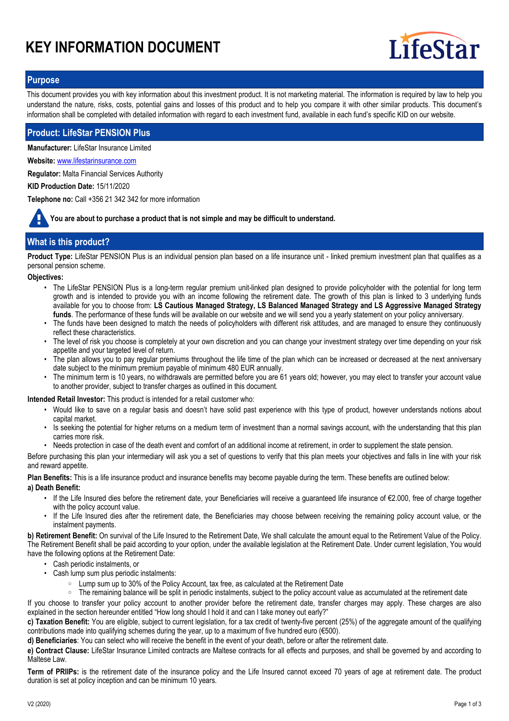# **KEY INFORMATION DOCUMENT**



## **Purpose**

This document provides you with key information about this investment product. It is not marketing material. The information is required by law to help you understand the nature, risks, costs, potential gains and losses of this product and to help you compare it with other similar products. This document's information shall be completed with detailed information with regard to each investment fund, available in each fund's specific KID on our website.

## **Product: LifeStar PENSION Plus**

**Manufacturer:** LifeStar Insurance Limited

**Website:** www.lifestarinsurance.com

**Regulator:** Malta Financial Services Authority

**KID Production Date:** 15/11/2020

**Telephone no:** Call +356 21 342 342 for more information

**You are about to purchase a product that is not simple and may be difficult to understand.**

# **What is this product?**

**Product Type:** LifeStar PENSION Plus is an individual pension plan based on a life insurance unit - linked premium investment plan that qualifies as a personal pension scheme.

#### **Objectives:**

- The LifeStar PENSION Plus is a long-term regular premium unit-linked plan designed to provide policyholder with the potential for long term growth and is intended to provide you with an income following the retirement date. The growth of this plan is linked to 3 underlying funds available for you to choose from: **LS Cautious Managed Strategy, LS Balanced Managed Strategy and LS Aggressive Managed Strategy funds**. The performance of these funds will be available on our website and we will send you a yearly statement on your policy anniversary.
- The funds have been designed to match the needs of policyholders with different risk attitudes, and are managed to ensure they continuously reflect these characteristics. •
- The level of risk you choose is completely at your own discretion and you can change your investment strategy over time depending on your risk appetite and your targeted level of return. •
- The plan allows you to pay regular premiums throughout the life time of the plan which can be increased or decreased at the next anniversary date subject to the minimum premium payable of minimum 480 EUR annually. •
- The minimum term is 10 years, no withdrawals are permitted before you are 61 years old; however, you may elect to transfer your account value to another provider, subject to transfer charges as outlined in this document. •

**Intended Retail Investor:** This product is intended for a retail customer who:

- Would like to save on a regular basis and doesn't have solid past experience with this type of product, however understands notions about capital market.
- Is seeking the potential for higher returns on a medium term of investment than a normal savings account, with the understanding that this plan carries more risk. •
- Needs protection in case of the death event and comfort of an additional income at retirement, in order to supplement the state pension.

Before purchasing this plan your intermediary will ask you a set of questions to verify that this plan meets your objectives and falls in line with your risk and reward appetite.

**Plan Benefits:** This is a life insurance product and insurance benefits may become payable during the term. These benefits are outlined below:

### **a) Death Benefit:**

- If the Life Insured dies before the retirement date, your Beneficiaries will receive a guaranteed life insurance of €2.000, free of charge together with the policy account value. •
- If the Life Insured dies after the retirement date, the Beneficiaries may choose between receiving the remaining policy account value, or the instalment payments. •

**b) Retirement Benefit:** On survival of the Life Insured to the Retirement Date, We shall calculate the amount equal to the Retirement Value of the Policy. The Retirement Benefit shall be paid according to your option, under the available legislation at the Retirement Date. Under current legislation, You would have the following options at the Retirement Date:

- Cash periodic instalments, or
- Cash lump sum plus periodic instalments:
	- Lump sum up to 30% of the Policy Account, tax free, as calculated at the Retirement Date
	- The remaining balance will be split in periodic instalments, subject to the policy account value as accumulated at the retirement date

If you choose to transfer your policy account to another provider before the retirement date, transfer charges may apply. These charges are also explained in the section hereunder entitled "How long should I hold it and can I take money out early?"

**c) Taxation Benefit:** You are eligible, subject to current legislation, for a tax credit of twenty-five percent (25%) of the aggregate amount of the qualifying contributions made into qualifying schemes during the year, up to a maximum of five hundred euro (€500).

**d) Beneficiaries**: You can select who will receive the benefit in the event of your death, before or after the retirement date.

**e) Contract Clause:** LifeStar Insurance Limited contracts are Maltese contracts for all effects and purposes, and shall be governed by and according to Maltese Law.

**Term of PRIIPs:** is the retirement date of the insurance policy and the Life Insured cannot exceed 70 years of age at retirement date. The product duration is set at policy inception and can be minimum 10 years.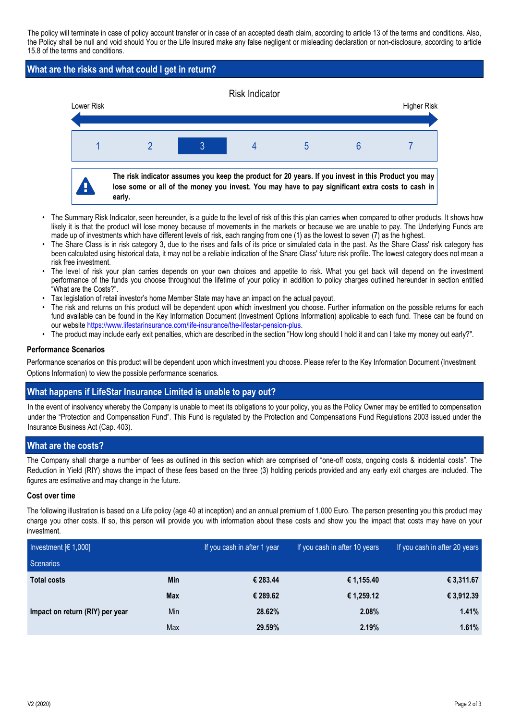The policy will terminate in case of policy account transfer or in case of an accepted death claim, according to article 13 of the terms and conditions. Also, the Policy shall be null and void should You or the Life Insured make any false negligent or misleading declaration or non-disclosure, according to article 15.8 of the terms and conditions.

# **What are the risks and what could I get in return?**



- The Summary Risk Indicator, seen hereunder, is a guide to the level of risk of this this plan carries when compared to other products. It shows how likely it is that the product will lose money because of movements in the markets or because we are unable to pay. The Underlying Funds are made up of investments which have different levels of risk, each ranging from one (1) as the lowest to seven (7) as the highest. •
- The Share Class is in risk category 3, due to the rises and falls of its price or simulated data in the past. As the Share Class' risk category has been calculated using historical data, it may not be a reliable indication of the Share Class' future risk profile. The lowest category does not mean a risk free investment. •
- The level of risk your plan carries depends on your own choices and appetite to risk. What you get back will depend on the investment performance of the funds you choose throughout the lifetime of your policy in addition to policy charges outlined hereunder in section entitled "What are the Costs?". •
- Tax legislation of retail investor's home Member State may have an impact on the actual payout.
- The risk and returns on this product will be dependent upon which investment you choose. Further information on the possible returns for each fund available can be found in the Key Information Document (Investment Options Information) applicable to each fund. These can be found on our website https://www.lifestarinsurance.com/life-insurance/the-lifestar-pension-plus. •
- The product may include early exit penalties, which are described in the section "How long should I hold it and can I take my money out early?".

### **Performance Scenarios**

Performance scenarios on this product will be dependent upon which investment you choose. Please refer to the Key Information Document (Investment Options Information) to view the possible performance scenarios.

# **What happens if LifeStar Insurance Limited is unable to pay out?**

In the event of insolvency whereby the Company is unable to meet its obligations to your policy, you as the Policy Owner may be entitled to compensation under the "Protection and Compensation Fund". This Fund is regulated by the Protection and Compensations Fund Regulations 2003 issued under the Insurance Business Act (Cap. 403).

# **What are the costs?**

The Company shall charge a number of fees as outlined in this section which are comprised of "one-off costs, ongoing costs & incidental costs". The Reduction in Yield (RIY) shows the impact of these fees based on the three (3) holding periods provided and any early exit charges are included. The figures are estimative and may change in the future.

### **Cost over time**

The following illustration is based on a Life policy (age 40 at inception) and an annual premium of 1,000 Euro. The person presenting you this product may charge you other costs. If so, this person will provide you with information about these costs and show you the impact that costs may have on your investment.

| Investment $[6 1,000]$          |            | If you cash in after 1 year | If you cash in after 10 years | If you cash in after 20 years |
|---------------------------------|------------|-----------------------------|-------------------------------|-------------------------------|
| Scenarios                       |            |                             |                               |                               |
| <b>Total costs</b>              | Min        | € 283.44                    | € 1,155.40                    | € 3,311.67                    |
|                                 | <b>Max</b> | € 289.62                    | € 1,259.12                    | € 3,912.39                    |
| Impact on return (RIY) per year | <b>Min</b> | 28.62%                      | 2.08%                         | 1.41%                         |
|                                 | Max        | 29.59%                      | 2.19%                         | 1.61%                         |